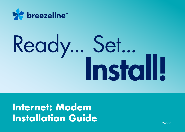

# Ready... Set...<br>Install!

**Internet: Modem Installation Guide** 

Modem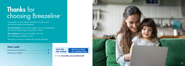# Thanks for choosing Breezeline ™

In this guide, we will walk you through how to set up your new Internet modem from Breezeline.

Current Customers: If you need to replace your current equipment, start with the "Removing your equipment" section.

New Customers: To set up your modem, start with the "Installing your Modem" section.

We hope you enjoy your Internet service from Breezeline.

### What's inside?

Don't feel like reading? Click Here to Watch Our Installation Video

Or visit: breezeline.com/modeminstall

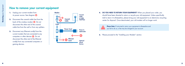### How to remove your current equipment

- 1. Unplug your current modem from its power source. See diagram  $\Omega$ .
- **2.** Disconnect the coaxial cable line from the back of the wireless modem **B**. Do not disconnect the other end of the coaxial cable line from the wall or from any splitters.
- **3.** Disconnect any Ethernet cord(s) from the current modem that are connected to any computers or other devices  $\bigodot$ . Do not disconnect the other end of the Ethernet cord(s) from any connected computers or gaming devices.



**4. DO YOU NEED TO RETURN YOUR EQUIPMENT?** When you placed your order, you should have been directed to return or recycle your old equipment. Unless specifically told to return it to Breezeline, please bring your old equipment to an electronics recycling center for disposal. Once deactivated, your old modem will no longer work.



Please Note: If instructed to return your equipment to Breezeline and you fail to do so, a fee may be charged to your account.

**5.** Please proceed to the "Installing your Modem" section.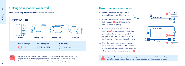## Getting your modem connected

Follow these easy instructions to set up your new modem.





**Tip** Tip: If you are also activating WiFi Your Way™ Home, follow the instructions on How to Set up your modem on the next page and then follow the instructions on the WiFi Your Way™ Home Ready Set Go Instructions to download the App and activate your pods.

## How to set up your modem

- **1.** Locate a cable wall outlet (coaxial) in a central location. It will look like this:
- **2.** Connect the coaxial cable from the wall to the modem  $\bigodot$  (insert into connector and turn barrel to tighten).
- **3.** Connect power cord from modem to the wall outlet  $\bullet$ . The modem will update once powered on. The process may take 5-10 minutes. When the lights in the front of the modem are glowing steady, it's ready to use.
- **4.** Using the Ethernet cord provided, connect your wired device to the back of the modem. If your modem has more than one Ethernet port, always connect the Ethernet cord to Port  $1 \bigodot$ .





Important Note: After you complete connecting your new modem, in order for the new settings to take effect, you will need to reboot all your wire connected devices like a computer or router.